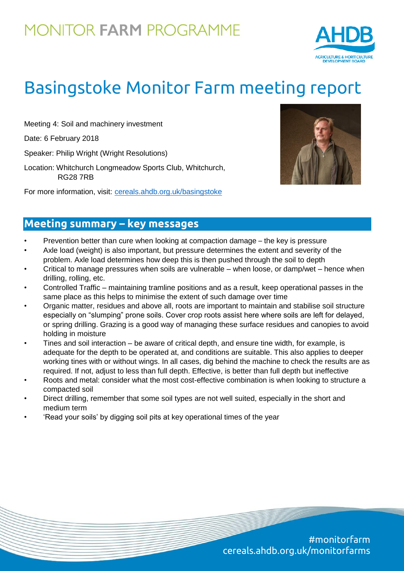## **MONITOR FARM PROGRAMME**



# Basingstoke Monitor Farm meeting report

Meeting 4: Soil and machinery investment

Date: 6 February 2018

Speaker: Philip Wright (Wright Resolutions)

Location: Whitchurch Longmeadow Sports Club, Whitchurch, RG28 7RB

For more information, visit: [cereals.ahdb.org.uk/basingstoke](https://cereals.ahdb.org.uk/get-involved/monitorfarms/basingstoke-monitor-farm.aspx)



### **Meeting summary – key messages**

- Prevention better than cure when looking at compaction damage the key is pressure
- Axle load (weight) is also important, but pressure determines the extent and severity of the problem. Axle load determines how deep this is then pushed through the soil to depth
- Critical to manage pressures when soils are vulnerable when loose, or damp/wet hence when drilling, rolling, etc.
- Controlled Traffic maintaining tramline positions and as a result, keep operational passes in the same place as this helps to minimise the extent of such damage over time
- Organic matter, residues and above all, roots are important to maintain and stabilise soil structure especially on "slumping" prone soils. Cover crop roots assist here where soils are left for delayed, or spring drilling. Grazing is a good way of managing these surface residues and canopies to avoid holding in moisture
- Tines and soil interaction be aware of critical depth, and ensure tine width, for example, is adequate for the depth to be operated at, and conditions are suitable. This also applies to deeper working tines with or without wings. In all cases, dig behind the machine to check the results are as required. If not, adjust to less than full depth. Effective, is better than full depth but ineffective
- Roots and metal: consider what the most cost-effective combination is when looking to structure a compacted soil
- Direct drilling, remember that some soil types are not well suited, especially in the short and medium term
- 'Read your soils' by digging soil pits at key operational times of the year

#monitorfarm cereals.ahdb.org.uk/monitorfarms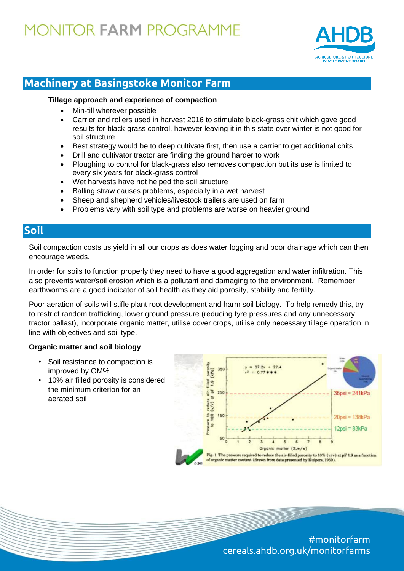## **MONITOR FARM PROGRAMME**



### **Machinery at Basingstoke Monitor Farm**

#### **Tillage approach and experience of compaction**

- Min-till wherever possible
- Carrier and rollers used in harvest 2016 to stimulate black-grass chit which gave good results for black-grass control, however leaving it in this state over winter is not good for soil structure
- Best strategy would be to deep cultivate first, then use a carrier to get additional chits
- Drill and cultivator tractor are finding the ground harder to work
- Ploughing to control for black-grass also removes compaction but its use is limited to every six years for black-grass control
- Wet harvests have not helped the soil structure
- Balling straw causes problems, especially in a wet harvest
- Sheep and shepherd vehicles/livestock trailers are used on farm
- Problems vary with soil type and problems are worse on heavier ground

### **Soil**

Soil compaction costs us yield in all our crops as does water logging and poor drainage which can then encourage weeds.

In order for soils to function properly they need to have a good aggregation and water infiltration. This also prevents water/soil erosion which is a pollutant and damaging to the environment. Remember, earthworms are a good indicator of soil health as they aid porosity, stability and fertility.

Poor aeration of soils will stifle plant root development and harm soil biology. To help remedy this, try to restrict random trafficking, lower ground pressure (reducing tyre pressures and any unnecessary tractor ballast), incorporate organic matter, utilise cover crops, utilise only necessary tillage operation in line with objectives and soil type.

#### **Organic matter and soil biology**

- Soil resistance to compaction is improved by OM%
- 10% air filled porosity is considered the minimum criterion for an aerated soil



#monitorfarm cereals.ahdb.org.uk/monitorfarms